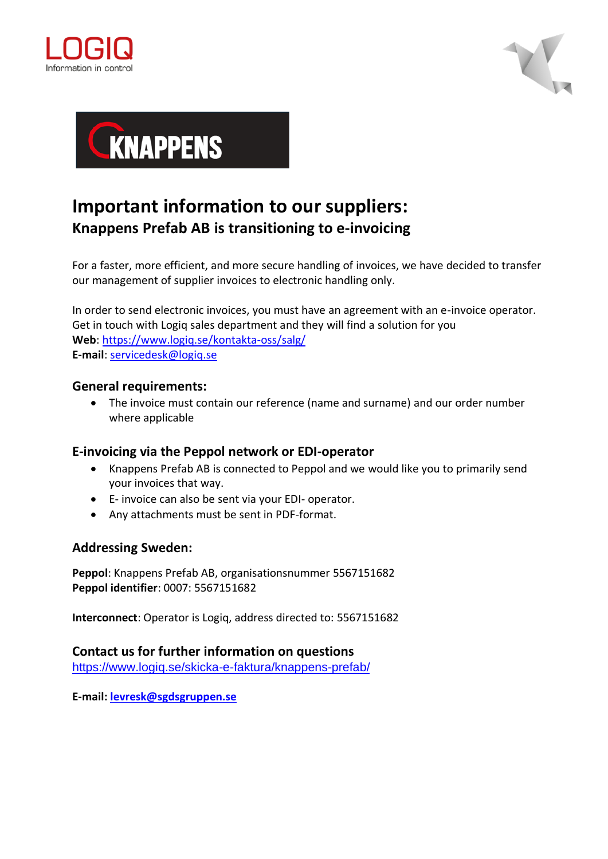





## **Important information to our suppliers: Knappens Prefab AB is transitioning to e-invoicing**

For a faster, more efficient, and more secure handling of invoices, we have decided to transfer our management of supplier invoices to electronic handling only.

In order to send electronic invoices, you must have an agreement with an e-invoice operator. Get in touch with Logiq sales department and they will find a solution for you **Web**:<https://www.logiq.se/kontakta-oss/salg/> **E-mail**: [servicedesk@logiq.se](file:///C:/Users/vibekes/AppData/Local/Microsoft/Windows/INetCache/Content.Outlook/CH30X4EX/servicedesk@logiq.se)

## **General requirements:**

• The invoice must contain our reference (name and surname) and our order number where applicable

## **E-invoicing via the Peppol network or EDI-operator**

- Knappens Prefab AB is connected to Peppol and we would like you to primarily send your invoices that way.
- E- invoice can also be sent via your EDI- operator.
- Any attachments must be sent in PDF-format.

## **Addressing Sweden:**

**Peppol**: Knappens Prefab AB, organisationsnummer 5567151682 **Peppol identifier**: 0007: 5567151682

**Interconnect**: Operator is Logiq, address directed to: 5567151682

**Contact us for further information on questions**

<https://www.logiq.se/skicka-e-faktura/knappens-prefab/>

**E-mail: [levresk@sgdsgruppen.se](mailto:levresk@sgdsgruppen.se)**